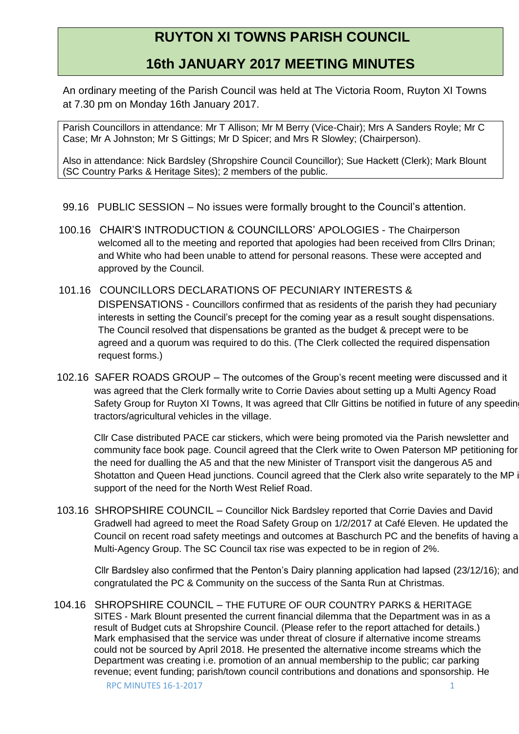# **RUYTON XI TOWNS PARISH COUNCIL**

## **16th JANUARY 2017 MEETING MINUTES**

An ordinary meeting of the Parish Council was held at The Victoria Room, Ruyton XI Towns at 7.30 pm on Monday 16th January 2017.

Parish Councillors in attendance: Mr T Allison; Mr M Berry (Vice-Chair); Mrs A Sanders Royle; Mr C Case; Mr A Johnston; Mr S Gittings; Mr D Spicer; and Mrs R Slowley; (Chairperson).

Also in attendance: Nick Bardsley (Shropshire Council Councillor); Sue Hackett (Clerk); Mark Blount (SC Country Parks & Heritage Sites); 2 members of the public.

- 99.16 PUBLIC SESSION No issues were formally brought to the Council's attention.
- 100.16 CHAIR'S INTRODUCTION & COUNCILLORS' APOLOGIES The Chairperson welcomed all to the meeting and reported that apologies had been received from Cllrs Drinan; and White who had been unable to attend for personal reasons. These were accepted and approved by the Council.
- 101.16 COUNCILLORS DECLARATIONS OF PECUNIARY INTERESTS & DISPENSATIONS - Councillors confirmed that as residents of the parish they had pecuniary interests in setting the Council's precept for the coming year as a result sought dispensations. The Council resolved that dispensations be granted as the budget & precept were to be agreed and a quorum was required to do this. (The Clerk collected the required dispensation request forms.)
- 102.16 SAFER ROADS GROUP The outcomes of the Group's recent meeting were discussed and it was agreed that the Clerk formally write to Corrie Davies about setting up a Multi Agency Road Safety Group for Ruyton XI Towns, It was agreed that Cllr Gittins be notified in future of any speedin tractors/agricultural vehicles in the village.

Cllr Case distributed PACE car stickers, which were being promoted via the Parish newsletter and community face book page. Council agreed that the Clerk write to Owen Paterson MP petitioning for the need for dualling the A5 and that the new Minister of Transport visit the dangerous A5 and Shotatton and Queen Head junctions. Council agreed that the Clerk also write separately to the MP in support of the need for the North West Relief Road.

 103.16 SHROPSHIRE COUNCIL – Councillor Nick Bardsley reported that Corrie Davies and David Gradwell had agreed to meet the Road Safety Group on 1/2/2017 at Café Eleven. He updated the Council on recent road safety meetings and outcomes at Baschurch PC and the benefits of having a Multi-Agency Group. The SC Council tax rise was expected to be in region of 2%.

 Cllr Bardsley also confirmed that the Penton's Dairy planning application had lapsed (23/12/16); and congratulated the PC & Community on the success of the Santa Run at Christmas.

104.16 SHROPSHIRE COUNCIL – THE FUTURE OF OUR COUNTRY PARKS & HERITAGE SITES - Mark Blount presented the current financial dilemma that the Department was in as a result of Budget cuts at Shropshire Council. (Please refer to the report attached for details.) Mark emphasised that the service was under threat of closure if alternative income streams could not be sourced by April 2018. He presented the alternative income streams which the Department was creating i.e. promotion of an annual membership to the public; car parking revenue; event funding; parish/town council contributions and donations and sponsorship. He

RPC MINUTES 16-1-2017 1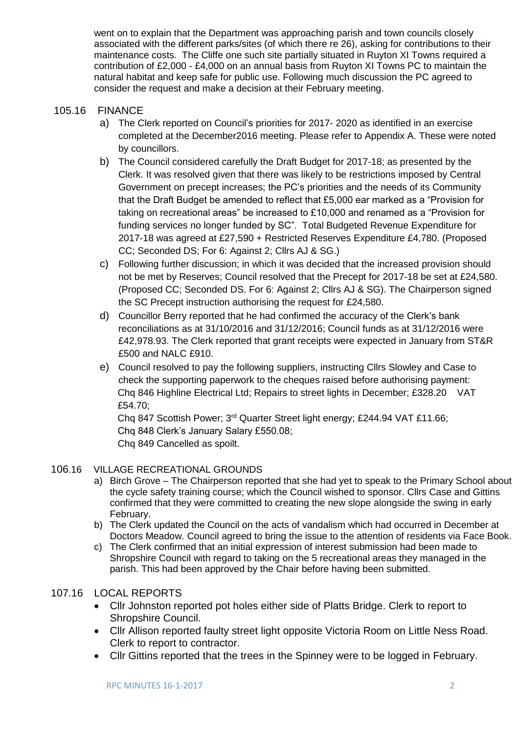went on to explain that the Department was approaching parish and town councils closely associated with the different parks/sites (of which there re 26), asking for contributions to their maintenance costs. The Cliffe one such site partially situated in Ruyton XI Towns required a contribution of £2,000 - £4,000 on an annual basis from Ruyton XI Towns PC to maintain the natural habitat and keep safe for public use. Following much discussion the PC agreed to consider the request and make a decision at their February meeting.

#### 105.16 FINANCE

- a) The Clerk reported on Council's priorities for 2017- 2020 as identified in an exercise completed at the December2016 meeting. Please refer to Appendix A. These were noted by councillors.
- b) The Council considered carefully the Draft Budget for 2017-18; as presented by the Clerk. It was resolved given that there was likely to be restrictions imposed by Central Government on precept increases; the PC's priorities and the needs of its Community that the Draft Budget be amended to reflect that £5,000 ear marked as a "Provision for taking on recreational areas" be increased to £10,000 and renamed as a "Provision for funding services no longer funded by SC". Total Budgeted Revenue Expenditure for 2017-18 was agreed at £27,590 + Restricted Reserves Expenditure £4,780. (Proposed CC; Seconded DS; For 6: Against 2; Cllrs AJ & SG.)
- c) Following further discussion; in which it was decided that the increased provision should not be met by Reserves; Council resolved that the Precept for 2017-18 be set at £24,580. (Proposed CC; Seconded DS. For 6: Against 2; Cllrs AJ & SG). The Chairperson signed the SC Precept instruction authorising the request for £24,580.
- d) Councillor Berry reported that he had confirmed the accuracy of the Clerk's bank reconciliations as at 31/10/2016 and 31/12/2016; Council funds as at 31/12/2016 were £42,978.93. The Clerk reported that grant receipts were expected in January from ST&R £500 and NALC £910.
- e) Council resolved to pay the following suppliers, instructing Cllrs Slowley and Case to check the supporting paperwork to the cheques raised before authorising payment: Chq 846 Highline Electrical Ltd; Repairs to street lights in December; £328.20 VAT £54.70;

Chq 847 Scottish Power; 3<sup>rd</sup> Quarter Street light energy; £244.94 VAT £11.66; Chq 848 Clerk's January Salary £550.08; Chq 849 Cancelled as spoilt.

#### 106.16 VILLAGE RECREATIONAL GROUNDS

- a) Birch Grove The Chairperson reported that she had yet to speak to the Primary School about the cycle safety training course; which the Council wished to sponsor. Cllrs Case and Gittins confirmed that they were committed to creating the new slope alongside the swing in early February.
- b) The Clerk updated the Council on the acts of vandalism which had occurred in December at Doctors Meadow. Council agreed to bring the issue to the attention of residents via Face Book.
- c) The Clerk confirmed that an initial expression of interest submission had been made to Shropshire Council with regard to taking on the 5 recreational areas they managed in the parish. This had been approved by the Chair before having been submitted.

### 107.16 LOCAL REPORTS

- Cllr Johnston reported pot holes either side of Platts Bridge. Clerk to report to Shropshire Council.
- Cllr Allison reported faulty street light opposite Victoria Room on Little Ness Road. Clerk to report to contractor.
- Cllr Gittins reported that the trees in the Spinney were to be logged in February.